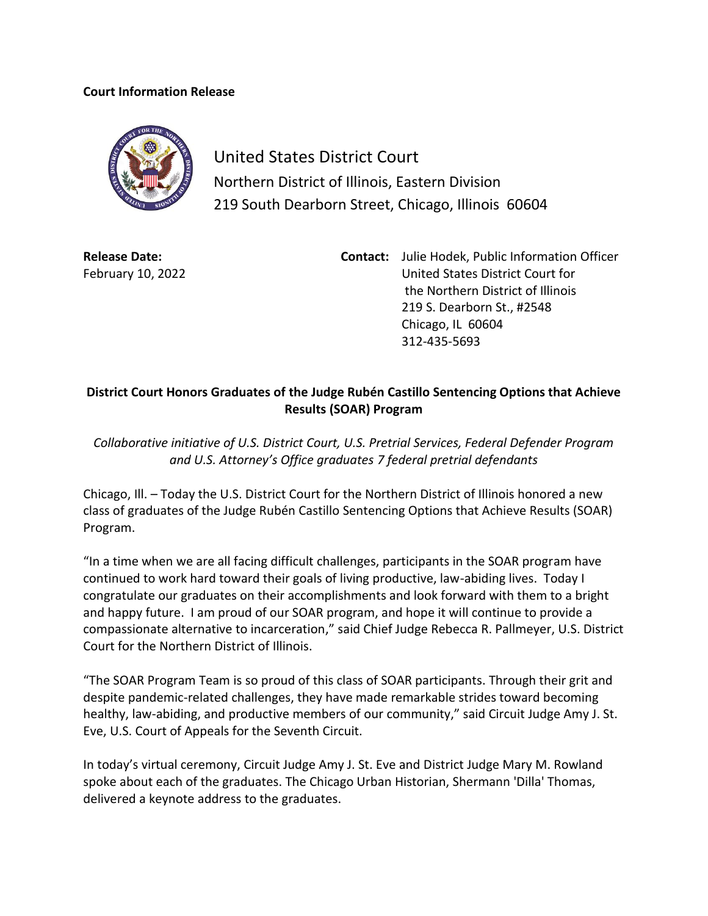## **Court Information Release**



United States District Court Northern District of Illinois, Eastern Division 219 South Dearborn Street, Chicago, Illinois 60604

**Release Date:** February 10, 2022 **Contact:** Julie Hodek, Public Information Officer United States District Court for the Northern District of Illinois 219 S. Dearborn St., #2548 Chicago, IL 60604 312-435-5693

## **District Court Honors Graduates of the Judge Rubén Castillo Sentencing Options that Achieve Results (SOAR) Program**

*Collaborative initiative of U.S. District Court, U.S. Pretrial Services, Federal Defender Program and U.S. Attorney's Office graduates 7 federal pretrial defendants*

Chicago, Ill. – Today the U.S. District Court for the Northern District of Illinois honored a new class of graduates of the Judge Rubén Castillo Sentencing Options that Achieve Results (SOAR) Program.

"In a time when we are all facing difficult challenges, participants in the SOAR program have continued to work hard toward their goals of living productive, law-abiding lives. Today I congratulate our graduates on their accomplishments and look forward with them to a bright and happy future. I am proud of our SOAR program, and hope it will continue to provide a compassionate alternative to incarceration," said Chief Judge Rebecca R. Pallmeyer, U.S. District Court for the Northern District of Illinois.

"The SOAR Program Team is so proud of this class of SOAR participants. Through their grit and despite pandemic-related challenges, they have made remarkable strides toward becoming healthy, law-abiding, and productive members of our community," said Circuit Judge Amy J. St. Eve, U.S. Court of Appeals for the Seventh Circuit.

In today's virtual ceremony, Circuit Judge Amy J. St. Eve and District Judge Mary M. Rowland spoke about each of the graduates. The Chicago Urban Historian, Shermann 'Dilla' Thomas, delivered a keynote address to the graduates.